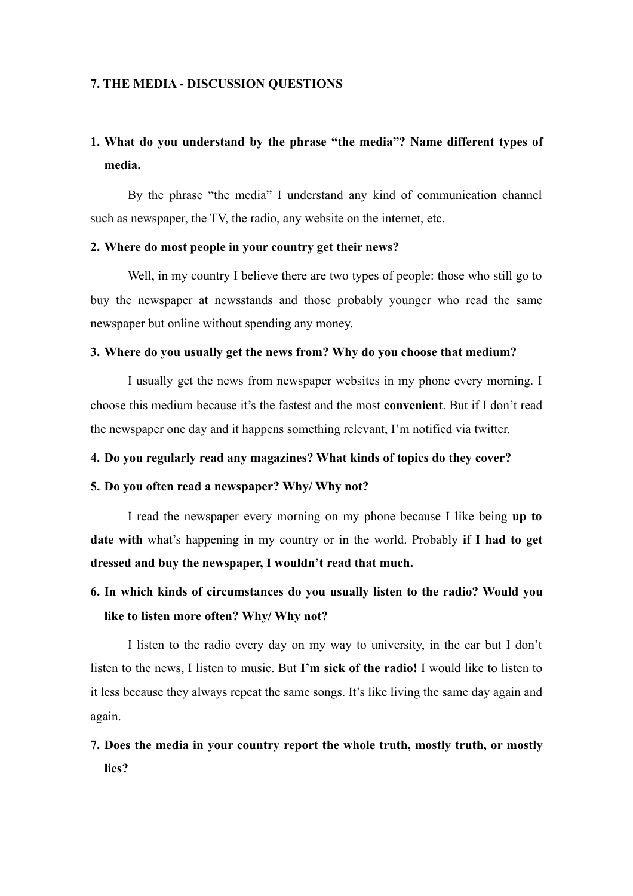#### **7. THE MEDIA - DISCUSSION QUESTIONS**

# **1. What do you understand by the phrase "the media"? Name different types of media.**

By the phrase "the media" I understand any kind of communication channel such as newspaper, the TV, the radio, any website on the internet, etc.

### **2. Where do most people in your country get their news?**

Well, in my country I believe there are two types of people: those who still go to buy the newspaper at newsstands and those probably younger who read the same newspaper but online without spending any money.

#### **3. Where do you usually get the news from? Why do you choose that medium?**

I usually get the news from newspaper websites in my phone every morning. I choose this medium because it's the fastest and the most **convenient**. But if I don't read the newspaper one day and it happens something relevant, I'm notified via twitter.

### **4. Do you regularly read any magazines? What kinds of topics do they cover?**

### **5. Do you often read a newspaper? Why/ Why not?**

I read the newspaper every morning on my phone because I like being **up to date with** what's happening in my country or in the world. Probably **if I had to get dressed and buy the newspaper, I wouldn't read that much.**

# **6. In which kinds of circumstances do you usually listen to the radio? Would you like to listen more often? Why/ Why not?**

I listen to the radio every day on my way to university, in the car but I don't listen to the news, I listen to music. But **I'm sick of the radio!** I would like to listen to it less because they always repeat the same songs. It's like living the same day again and again.

# **7. Does the media in your country report the whole truth, mostly truth, or mostly lies?**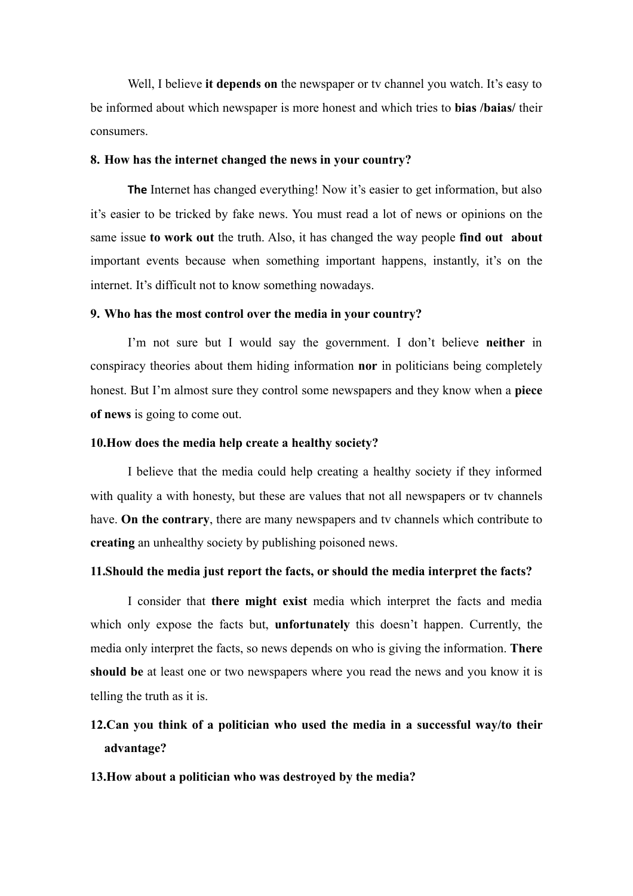Well, I believe **it depends on** the newspaper or tv channel you watch. It's easy to be informed about which newspaper is more honest and which tries to **bias /baias/** their consumers.

### **8. How has the internet changed the news in your country?**

**The** Internet has changed everything! Now it's easier to get information, but also it's easier to be tricked by fake news. You must read a lot of news or opinions on the same issue **to work out** the truth. Also, it has changed the way people **find out about**  important events because when something important happens, instantly, it's on the internet. It's difficult not to know something nowadays.

#### **9. Who has the most control over the media in your country?**

I'm not sure but I would say the government. I don't believe **neither** in conspiracy theories about them hiding information **nor** in politicians being completely honest. But I'm almost sure they control some newspapers and they know when a **piece of news** is going to come out.

### **10.How does the media help create a healthy society?**

I believe that the media could help creating a healthy society if they informed with quality a with honesty, but these are values that not all newspapers or tv channels have. **On the contrary**, there are many newspapers and tv channels which contribute to **creating** an unhealthy society by publishing poisoned news.

### **11.Should the media just report the facts, or should the media interpret the facts?**

I consider that **there might exist** media which interpret the facts and media which only expose the facts but, **unfortunately** this doesn't happen. Currently, the media only interpret the facts, so news depends on who is giving the information. **There should be** at least one or two newspapers where you read the news and you know it is telling the truth as it is.

# **12.Can you think of a politician who used the media in a successful way/to their advantage?**

### **13.How about a politician who was destroyed by the media?**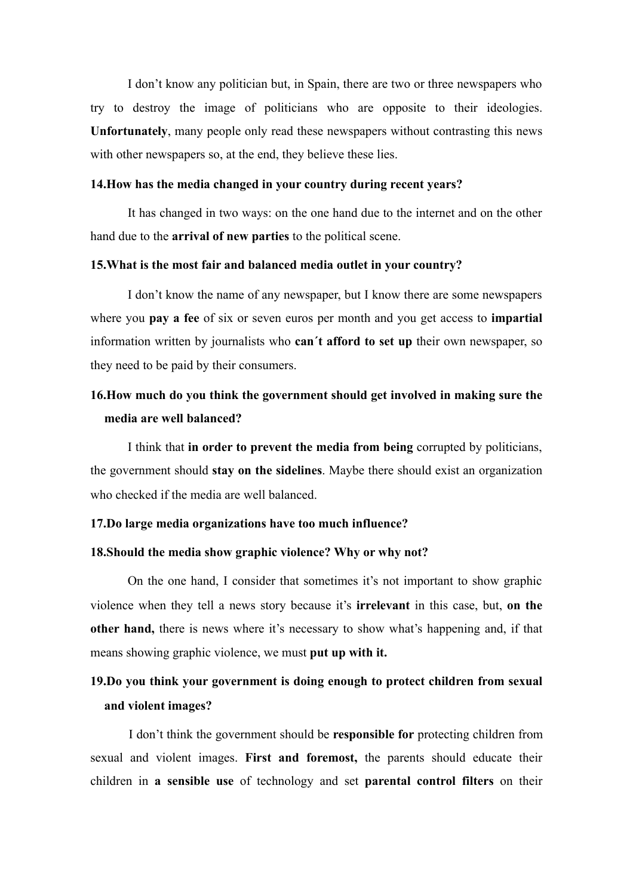I don't know any politician but, in Spain, there are two or three newspapers who try to destroy the image of politicians who are opposite to their ideologies. **Unfortunately**, many people only read these newspapers without contrasting this news with other newspapers so, at the end, they believe these lies.

#### **14.How has the media changed in your country during recent years?**

It has changed in two ways: on the one hand due to the internet and on the other hand due to the **arrival of new parties** to the political scene.

### **15.What is the most fair and balanced media outlet in your country?**

I don't know the name of any newspaper, but I know there are some newspapers where you **pay a fee** of six or seven euros per month and you get access to **impartial** information written by journalists who **can´t afford to set up** their own newspaper, so they need to be paid by their consumers.

# **16.How much do you think the government should get involved in making sure the media are well balanced?**

I think that **in order to prevent the media from being** corrupted by politicians, the government should **stay on the sidelines**. Maybe there should exist an organization who checked if the media are well balanced.

### **17.Do large media organizations have too much influence?**

#### **18.Should the media show graphic violence? Why or why not?**

On the one hand, I consider that sometimes it's not important to show graphic violence when they tell a news story because it's **irrelevant** in this case, but, **on the other hand,** there is news where it's necessary to show what's happening and, if that means showing graphic violence, we must **put up with it.** 

# **19.Do you think your government is doing enough to protect children from sexual and violent images?**

I don't think the government should be **responsible for** protecting children from sexual and violent images. **First and foremost,** the parents should educate their children in **a sensible use** of technology and set **parental control filters** on their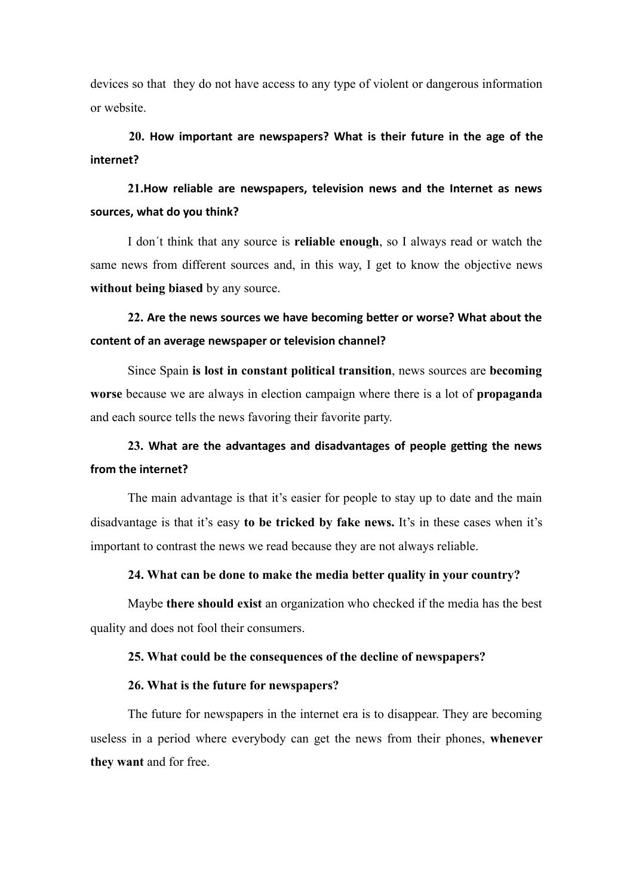devices so that they do not have access to any type of violent or dangerous information or website.

**20. How important are newspapers? What is their future in the age of the internet?**

21. How reliable are newspapers, television news and the Internet as news sources, what do you think?

I don´t think that any source is **reliable enough**, so I always read or watch the same news from different sources and, in this way, I get to know the objective news **without being biased** by any source.

22. Are the news sources we have becoming better or worse? What about the content of an average newspaper or television channel?

Since Spain **is lost in constant political transition**, news sources are **becoming worse** because we are always in election campaign where there is a lot of **propaganda** and each source tells the news favoring their favorite party.

# 23. What are the advantages and disadvantages of people getting the news from the internet?

The main advantage is that it's easier for people to stay up to date and the main disadvantage is that it's easy **to be tricked by fake news.** It's in these cases when it's important to contrast the news we read because they are not always reliable.

### **24. What can be done to make the media better quality in your country?**

Maybe **there should exist** an organization who checked if the media has the best quality and does not fool their consumers.

#### **25. What could be the consequences of the decline of newspapers?**

### **26. What is the future for newspapers?**

The future for newspapers in the internet era is to disappear. They are becoming useless in a period where everybody can get the news from their phones, **whenever they want** and for free.